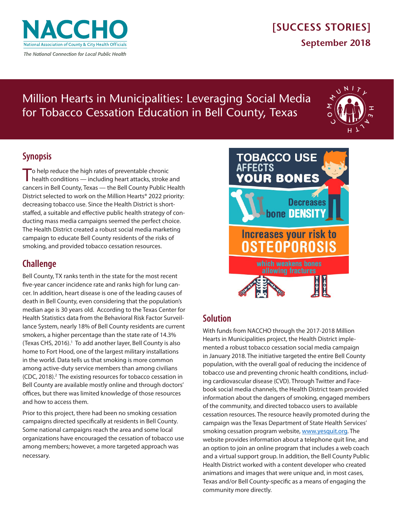

## **[SUCCESS STORIES] September 2018**

# Million Hearts in Municipalities: Leveraging Social Media for Tobacco Cessation Education in Bell County, Texas



### **Synopsis**

To help reduce the high rates of preventable chronic<br>health conditions — including heart attacks, stroke and cancers in Bell County, Texas — the Bell County Public Health District selected to work on the Million Hearts® 2022 priority: decreasing tobacco use. Since the Health District is shortstaffed, a suitable and effective public health strategy of conducting mass media campaigns seemed the perfect choice. The Health District created a robust social media marketing campaign to educate Bell County residents of the risks of smoking, and provided tobacco cessation resources.

## **Challenge**

Bell County, TX ranks tenth in the state for the most recent five-year cancer incidence rate and ranks high for lung cancer. In addition, heart disease is one of the leading causes of death in Bell County, even considering that the population's median age is 30 years old. According to the Texas Center for Health Statistics data from the Behavioral Risk Factor Surveillance System, nearly 18% of Bell County residents are current smokers, a higher percentage than the state rate of 14.3% (Texas CHS, 2016).<sup>1</sup> To add another layer, Bell County is also home to Fort Hood, one of the largest military installations in the world. Data tells us that smoking is more common among active-duty service members than among civilians (CDC, 2018).<sup>2</sup> The existing resources for tobacco cessation in Bell County are available mostly online and through doctors' offices, but there was limited knowledge of those resources and how to access them.

Prior to this project, there had been no smoking cessation campaigns directed specifically at residents in Bell County. Some national campaigns reach the area and some local organizations have encouraged the cessation of tobacco use among members; however, a more targeted approach was necessary.



## **Solution**

With funds from NACCHO through the 2017-2018 Million Hearts in Municipalities project, the Health District implemented a robust tobacco cessation social media campaign in January 2018. The initiative targeted the entire Bell County population, with the overall goal of reducing the incidence of tobacco use and preventing chronic health conditions, including cardiovascular disease (CVD). Through Twitter and Facebook social media channels, the Health District team provided information about the dangers of smoking, engaged members of the community, and directed tobacco users to available cessation resources. The resource heavily promoted during the campaign was the Texas Department of State Health Services' smoking cessation program website, [www.yesquit.org.](http://www.yesquit.org) The website provides information about a telephone quit line, and an option to join an online program that includes a web coach and a virtual support group. In addition, the Bell County Public Health District worked with a content developer who created animations and images that were unique and, in most cases, Texas and/or Bell County-specific as a means of engaging the community more directly.